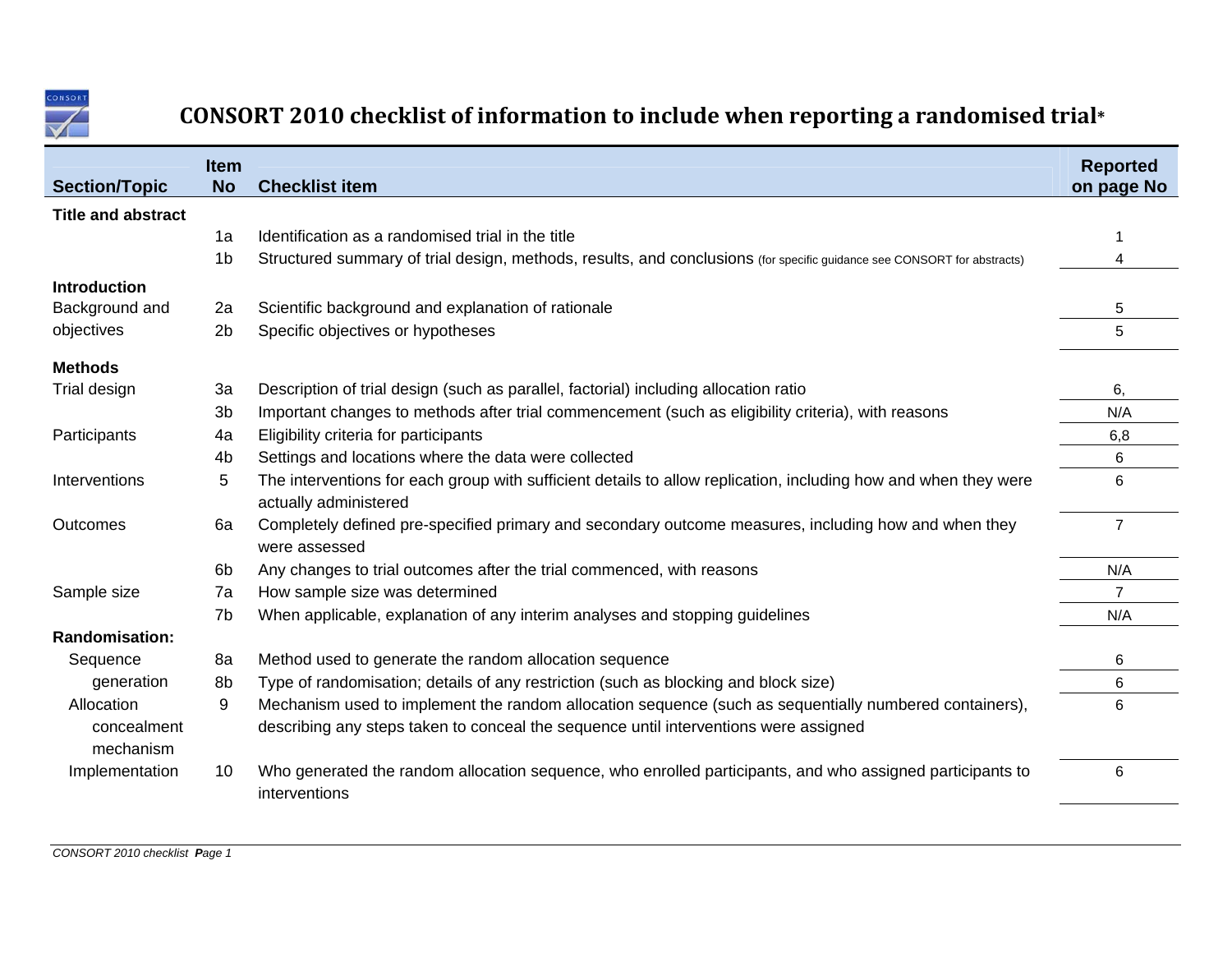

## **CONSORT 2010 checklist of information to include when reporting <sup>a</sup> randomised trial\***

| <b>Section/Topic</b>                   | <b>Item</b><br><b>No</b> | <b>Checklist item</b>                                                                                                                                                                          | <b>Reported</b><br>on page No |
|----------------------------------------|--------------------------|------------------------------------------------------------------------------------------------------------------------------------------------------------------------------------------------|-------------------------------|
| <b>Title and abstract</b>              |                          |                                                                                                                                                                                                |                               |
|                                        | 1a                       | Identification as a randomised trial in the title                                                                                                                                              |                               |
|                                        | 1b                       | Structured summary of trial design, methods, results, and conclusions (for specific guidance see CONSORT for abstracts)                                                                        |                               |
| <b>Introduction</b>                    |                          |                                                                                                                                                                                                |                               |
| Background and                         | 2a                       | Scientific background and explanation of rationale                                                                                                                                             | 5                             |
| objectives                             | 2 <sub>b</sub>           | Specific objectives or hypotheses                                                                                                                                                              | 5                             |
| <b>Methods</b>                         |                          |                                                                                                                                                                                                |                               |
| Trial design                           | 3a                       | Description of trial design (such as parallel, factorial) including allocation ratio                                                                                                           | 6,                            |
|                                        | 3b                       | Important changes to methods after trial commencement (such as eligibility criteria), with reasons                                                                                             | N/A                           |
| Participants                           | 4a                       | Eligibility criteria for participants                                                                                                                                                          | 6,8                           |
|                                        | 4b                       | Settings and locations where the data were collected                                                                                                                                           | 6                             |
| Interventions                          | 5                        | The interventions for each group with sufficient details to allow replication, including how and when they were<br>actually administered                                                       | 6                             |
| Outcomes                               | 6a                       | Completely defined pre-specified primary and secondary outcome measures, including how and when they<br>were assessed                                                                          | $\overline{7}$                |
|                                        | 6b                       | Any changes to trial outcomes after the trial commenced, with reasons                                                                                                                          | N/A                           |
| Sample size                            | 7a                       | How sample size was determined                                                                                                                                                                 | $\overline{7}$                |
|                                        | 7b                       | When applicable, explanation of any interim analyses and stopping guidelines                                                                                                                   | N/A                           |
| <b>Randomisation:</b>                  |                          |                                                                                                                                                                                                |                               |
| Sequence                               | 8a                       | Method used to generate the random allocation sequence                                                                                                                                         | 6                             |
| generation                             | 8b                       | Type of randomisation; details of any restriction (such as blocking and block size)                                                                                                            | 6                             |
| Allocation<br>concealment<br>mechanism | 9                        | Mechanism used to implement the random allocation sequence (such as sequentially numbered containers),<br>describing any steps taken to conceal the sequence until interventions were assigned | 6                             |
| Implementation                         | 10                       | Who generated the random allocation sequence, who enrolled participants, and who assigned participants to<br>interventions                                                                     | 6                             |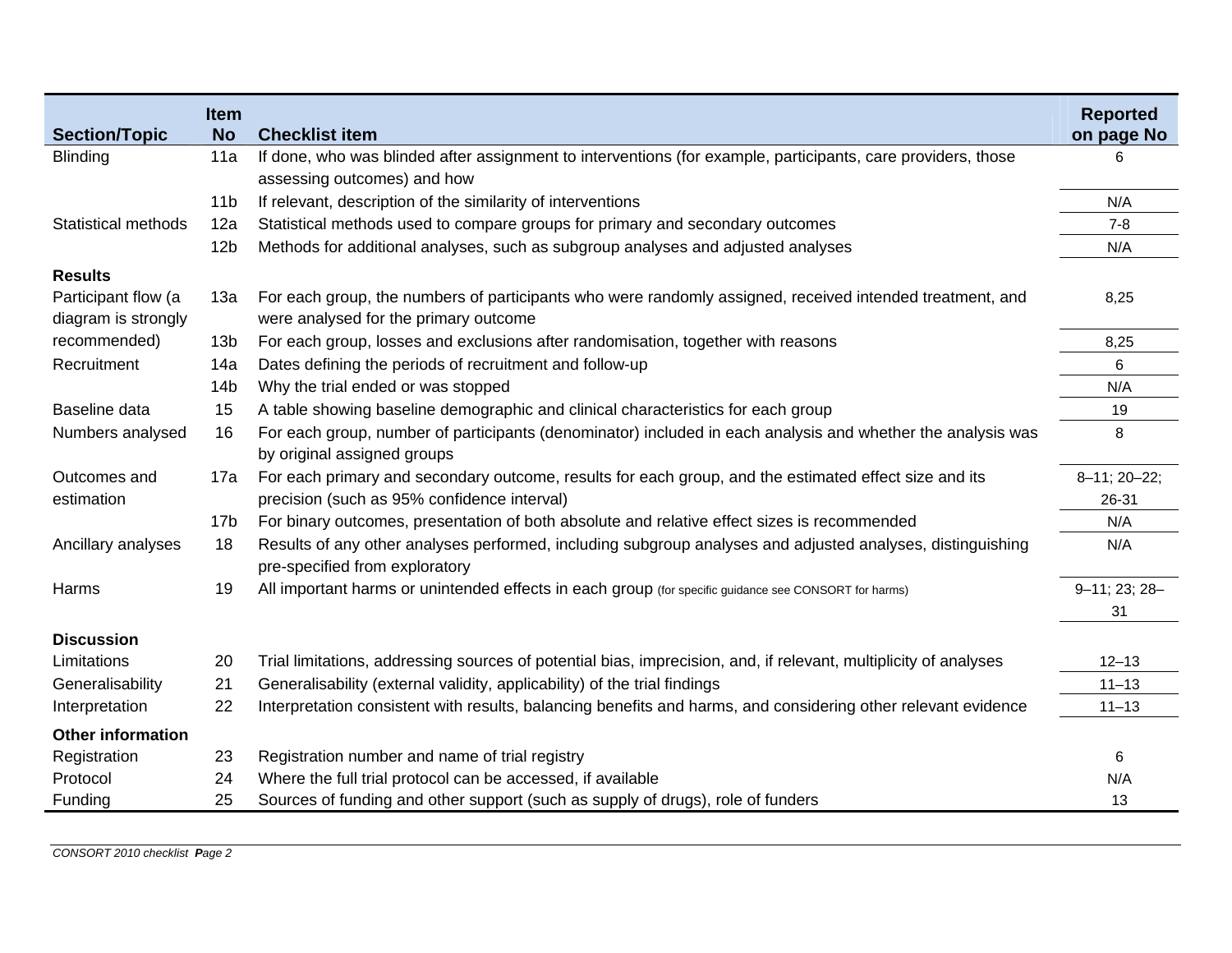| <b>Section/Topic</b>                       | <b>Item</b><br><b>No</b> | <b>Checklist item</b>                                                                                                                             | <b>Reported</b><br>on page No |
|--------------------------------------------|--------------------------|---------------------------------------------------------------------------------------------------------------------------------------------------|-------------------------------|
| <b>Blinding</b>                            | 11a                      | If done, who was blinded after assignment to interventions (for example, participants, care providers, those<br>assessing outcomes) and how       | 6                             |
|                                            | 11 <sub>b</sub>          | If relevant, description of the similarity of interventions                                                                                       | N/A                           |
| <b>Statistical methods</b>                 | 12a                      | Statistical methods used to compare groups for primary and secondary outcomes                                                                     | $7 - 8$                       |
|                                            | 12 <sub>b</sub>          | Methods for additional analyses, such as subgroup analyses and adjusted analyses                                                                  | N/A                           |
| <b>Results</b>                             |                          |                                                                                                                                                   |                               |
| Participant flow (a<br>diagram is strongly | 13a                      | For each group, the numbers of participants who were randomly assigned, received intended treatment, and<br>were analysed for the primary outcome | 8,25                          |
| recommended)                               | 13 <sub>b</sub>          | For each group, losses and exclusions after randomisation, together with reasons                                                                  | 8,25                          |
| Recruitment                                | 14a                      | Dates defining the periods of recruitment and follow-up                                                                                           | 6                             |
|                                            | 14 <sub>b</sub>          | Why the trial ended or was stopped                                                                                                                | N/A                           |
| Baseline data                              | 15                       | A table showing baseline demographic and clinical characteristics for each group                                                                  | 19                            |
| Numbers analysed                           | 16                       | For each group, number of participants (denominator) included in each analysis and whether the analysis was<br>by original assigned groups        | 8                             |
| Outcomes and                               | 17a                      | For each primary and secondary outcome, results for each group, and the estimated effect size and its                                             | 8-11; 20-22;                  |
| estimation                                 |                          | precision (such as 95% confidence interval)                                                                                                       | 26-31                         |
|                                            | 17 <sub>b</sub>          | For binary outcomes, presentation of both absolute and relative effect sizes is recommended                                                       | N/A                           |
| Ancillary analyses                         | 18                       | Results of any other analyses performed, including subgroup analyses and adjusted analyses, distinguishing<br>pre-specified from exploratory      | N/A                           |
| Harms                                      | 19                       | All important harms or unintended effects in each group (for specific guidance see CONSORT for harms)                                             | 9-11; 23; 28-                 |
|                                            |                          |                                                                                                                                                   | 31                            |
| <b>Discussion</b>                          |                          |                                                                                                                                                   |                               |
| Limitations                                | 20                       | Trial limitations, addressing sources of potential bias, imprecision, and, if relevant, multiplicity of analyses                                  | $12 - 13$                     |
| Generalisability                           | 21                       | Generalisability (external validity, applicability) of the trial findings                                                                         | $11 - 13$                     |
| Interpretation                             | 22                       | Interpretation consistent with results, balancing benefits and harms, and considering other relevant evidence                                     | $11 - 13$                     |
| <b>Other information</b>                   |                          |                                                                                                                                                   |                               |
| Registration                               | 23                       | Registration number and name of trial registry                                                                                                    | 6                             |
| Protocol                                   | 24                       | Where the full trial protocol can be accessed, if available                                                                                       | N/A                           |
| Funding                                    | 25                       | Sources of funding and other support (such as supply of drugs), role of funders                                                                   | 13                            |